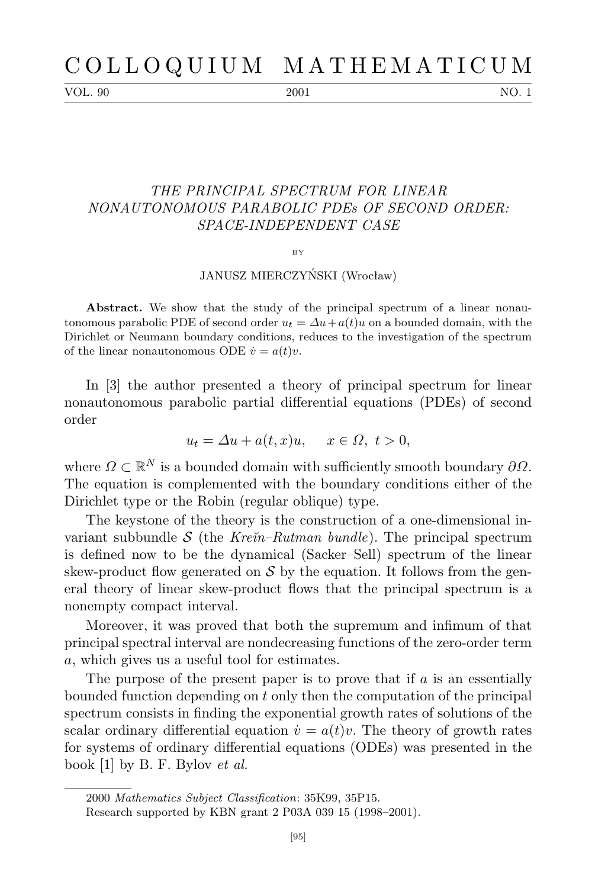VOL. 90 2001 2001 NO. 1

## *THE PRINCIPAL SPECTRUM FOR LINEAR NONAUTONOMOUS PARABOLIC PDEs OF SECOND ORDER: SPACE-INDEPENDENT CASE*

BY

## JANUSZ MIERCZYŃSKI (Wrocław)

**Abstract.** We show that the study of the principal spectrum of a linear nonautonomous parabolic PDE of second order  $u_t = \Delta u + a(t)u$  on a bounded domain, with the Dirichlet or Neumann boundary conditions, reduces to the investigation of the spectrum of the linear nonautonomous ODE  $\dot{v} = a(t)v$ .

In [3] the author presented a theory of principal spectrum for linear nonautonomous parabolic partial differential equations (PDEs) of second order

$$
u_t = \Delta u + a(t, x)u, \quad x \in \Omega, \ t > 0,
$$

where  $\Omega \subset \mathbb{R}^N$  is a bounded domain with sufficiently smooth boundary  $\partial \Omega$ . The equation is complemented with the boundary conditions either of the Dirichlet type or the Robin (regular oblique) type.

The keystone of the theory is the construction of a one-dimensional invariant subbundle  $S$  (the *Kre* $\tilde{m}$ *–Rutman bundle*). The principal spectrum is defined now to be the dynamical (Sacker–Sell) spectrum of the linear skew-product flow generated on  $\mathcal S$  by the equation. It follows from the general theory of linear skew-product flows that the principal spectrum is a nonempty compact interval.

Moreover, it was proved that both the supremum and infimum of that principal spectral interval are nondecreasing functions of the zero-order term *a*, which gives us a useful tool for estimates.

The purpose of the present paper is to prove that if *a* is an essentially bounded function depending on *t* only then the computation of the principal spectrum consists in finding the exponential growth rates of solutions of the scalar ordinary differential equation  $\dot{v} = a(t)v$ . The theory of growth rates for systems of ordinary differential equations (ODEs) was presented in the book [1] by B. F. Bylov *et al.*

<sup>2000</sup> *Mathematics Subject Classification*: 35K99, 35P15.

Research supported by KBN grant 2 P03A 039 15 (1998–2001).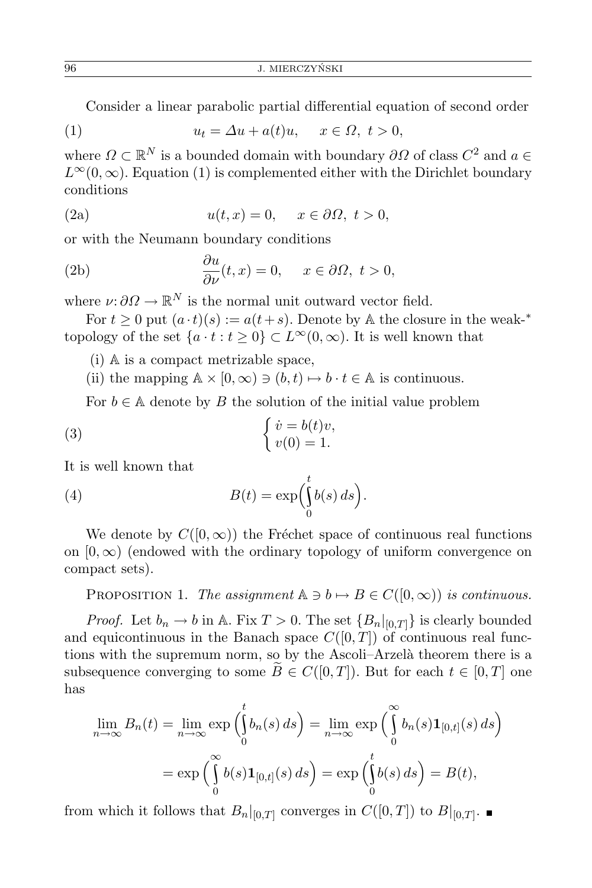Consider a linear parabolic partial differential equation of second order

(1) 
$$
u_t = \Delta u + a(t)u, \quad x \in \Omega, \ t > 0,
$$

where  $\Omega \subset \mathbb{R}^N$  is a bounded domain with boundary  $\partial \Omega$  of class  $C^2$  and  $a \in$  $L^{\infty}(0,\infty)$ . Equation (1) is complemented either with the Dirichlet boundary conditions

(2a) 
$$
u(t,x) = 0, \quad x \in \partial\Omega, \ t > 0,
$$

or with the Neumann boundary conditions

(2b) 
$$
\frac{\partial u}{\partial \nu}(t,x) = 0, \quad x \in \partial \Omega, \ t > 0,
$$

where  $\nu: \partial \Omega \to \mathbb{R}^N$  is the normal unit outward vector field.

For  $t > 0$  put  $(a \cdot t)(s) := a(t + s)$ . Denote by A the closure in the weak-<sup>\*</sup> topology of the set  $\{a \cdot t : t \geq 0\} \subset L^{\infty}(0, \infty)$ . It is well known that

(i) A is a compact metrizable space,

(ii) the mapping  $A \times [0, \infty) \ni (b, t) \mapsto b \cdot t \in A$  is continuous.

For  $b \in A$  denote by *B* the solution of the initial value problem

(3) 
$$
\begin{cases} \dot{v} = b(t)v, \\ v(0) = 1. \end{cases}
$$

It is well known that

(4) 
$$
B(t) = \exp\left(\int_{0}^{t} b(s) ds\right).
$$

We denote by  $C([0,\infty))$  the Fréchet space of continuous real functions on  $[0, \infty)$  (endowed with the ordinary topology of uniform convergence on compact sets).

PROPOSITION 1. *The assignment*  $\mathbb{A} \ni b \mapsto B \in C([0,\infty))$  *is continuous.* 

*Proof.* Let  $b_n \to b$  in A. Fix  $T > 0$ . The set  ${B_n|_{[0,T]}}$  is clearly bounded and equicontinuous in the Banach space  $C([0,T])$  of continuous real functions with the supremum norm, so by the Ascoli–Arzelà theorem there is a subsequence converging to some  $\widetilde{B} \in C([0,T])$ . But for each  $t \in [0,T]$  one has

$$
\lim_{n \to \infty} B_n(t) = \lim_{n \to \infty} \exp\left(\int_0^t b_n(s) \, ds\right) = \lim_{n \to \infty} \exp\left(\int_0^\infty b_n(s) \mathbf{1}_{[0,t]}(s) \, ds\right)
$$

$$
= \exp\left(\int_0^\infty b(s) \mathbf{1}_{[0,t]}(s) \, ds\right) = \exp\left(\int_0^t b(s) \, ds\right) = B(t),
$$

from which it follows that  $B_n|_{[0,T]}$  converges in  $C([0,T])$  to  $B|_{[0,T]}$ .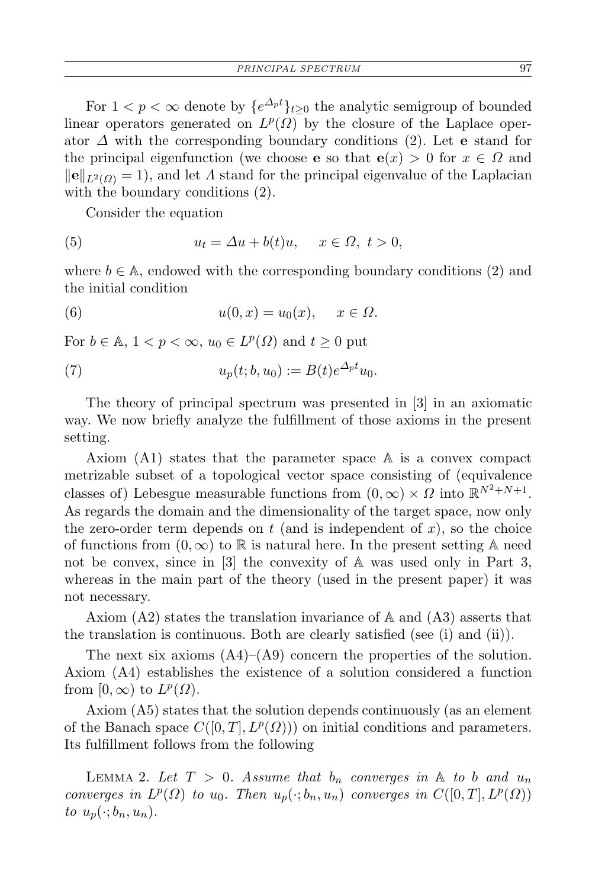For  $1 < p < \infty$  denote by  ${e^{A_p t}}_{t \geq 0}$  the analytic semigroup of bounded linear operators generated on  $L^p(\Omega)$  by the closure of the Laplace operator *∆* with the corresponding boundary conditions (2). Let **e** stand for the principal eigenfunction (we choose **e** so that  $e(x) > 0$  for  $x \in \Omega$  and  $\|\mathbf{e}\|_{L^2(Q)} = 1$ , and let *Λ* stand for the principal eigenvalue of the Laplacian with the boundary conditions (2).

Consider the equation

(5) 
$$
u_t = \Delta u + b(t)u, \quad x \in \Omega, \ t > 0,
$$

where  $b \in A$ , endowed with the corresponding boundary conditions (2) and the initial condition

(6) 
$$
u(0,x) = u_0(x), \quad x \in \Omega.
$$

For  $b \in \mathbb{A}$ ,  $1 < p < \infty$ ,  $u_0 \in L^p(\Omega)$  and  $t \geq 0$  put

(7) 
$$
u_p(t; b, u_0) := B(t)e^{\Delta_p t}u_0.
$$

The theory of principal spectrum was presented in [3] in an axiomatic way. We now briefly analyze the fulfillment of those axioms in the present setting.

Axiom (A1) states that the parameter space A is a convex compact metrizable subset of a topological vector space consisting of (equivalence classes of) Lebesgue measurable functions from  $(0, \infty) \times \Omega$  into  $\mathbb{R}^{N^2 + N + 1}$ . As regards the domain and the dimensionality of the target space, now only the zero-order term depends on  $t$  (and is independent of  $x$ ), so the choice of functions from  $(0, \infty)$  to R is natural here. In the present setting A need not be convex, since in [3] the convexity of A was used only in Part 3, whereas in the main part of the theory (used in the present paper) it was not necessary.

Axiom (A2) states the translation invariance of A and (A3) asserts that the translation is continuous. Both are clearly satisfied (see (i) and (ii)).

The next six axioms  $(A4)$ – $(A9)$  concern the properties of the solution. Axiom (A4) establishes the existence of a solution considered a function from  $[0, \infty)$  to  $L^p(\Omega)$ .

Axiom (A5) states that the solution depends continuously (as an element of the Banach space  $C([0,T], L^p(\Omega))$  on initial conditions and parameters. Its fulfillment follows from the following

LEMMA 2. Let  $T > 0$ . Assume that  $b_n$  converges in  $A$  to  $b$  and  $u_n$ *converges in*  $L^p(\Omega)$  *to*  $u_0$ *. Then*  $u_p(\cdot; b_n, u_n)$  *converges in*  $C([0, T], L^p(\Omega))$ *to*  $u_p(\cdot; b_n, u_n)$ .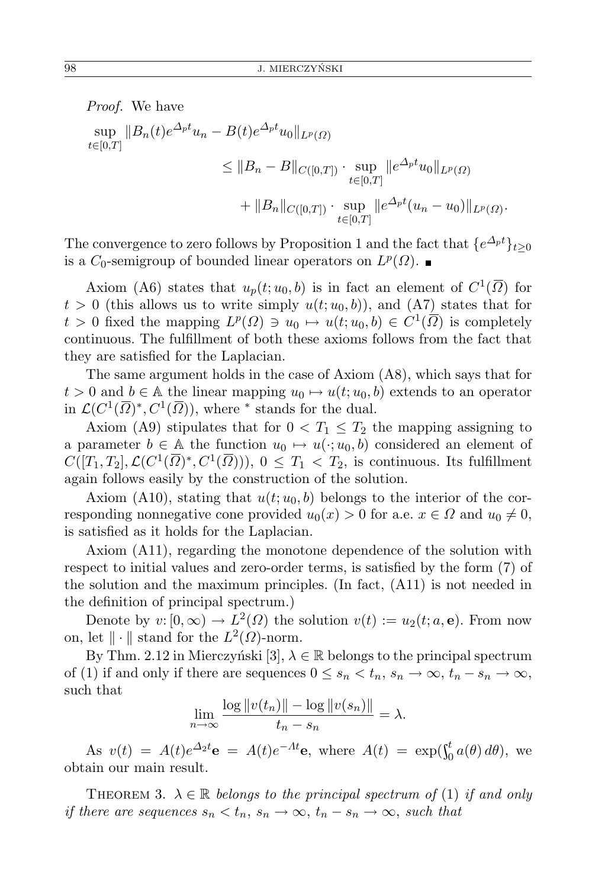*Proof.* We have  $\sup_{t \to \infty} \|B_n(t)e^{\Delta_p t}u_n - B(t)e^{\Delta_p t}u_0\|_{L^p(\Omega)}$ *t∈*[0*,T*]  $\leq$   $||B_n - B||_{C([0,T])} \cdot \sup_{t \in [0,T]}$  $||e^{\Delta_p t}u_0||_{L^p(\Omega)}$  $+ \ \|B_n\|_{C([0,T])} \cdot \sup_{t \in [0,T]}$  $||e^{\Delta p t}(u_n - u_0)||_{L^p(\Omega)}$ .

The convergence to zero follows by Proposition 1 and the fact that  ${e^{A_p t}}_{t\geq 0}$ is a  $C_0$ -semigroup of bounded linear operators on  $L^p(\Omega)$ .

Axiom (A6) states that  $u_p(t; u_0, b)$  is in fact an element of  $C^1(\overline{\Omega})$  for  $t > 0$  (this allows us to write simply  $u(t; u_0, b)$ ), and (A7) states that for  $t > 0$  fixed the mapping  $L^p(\Omega) \ni u_0 \mapsto u(t; u_0, b) \in C^1(\overline{\Omega})$  is completely continuous. The fulfillment of both these axioms follows from the fact that they are satisfied for the Laplacian.

The same argument holds in the case of Axiom (A8), which says that for  $t > 0$  and  $b \in A$  the linear mapping  $u_0 \mapsto u(t; u_0, b)$  extends to an operator in  $\mathcal{L}(C^1(\overline{\Omega})^*, C^1(\overline{\Omega}))$ , where *\** stands for the dual.

Axiom (A9) stipulates that for  $0 < T_1 \leq T_2$  the mapping assigning to a parameter  $b \in A$  the function  $u_0 \mapsto u(\cdot; u_0, b)$  considered an element of  $C([T_1, T_2], \mathcal{L}(C^1(\overline{\Omega})^*, C^1(\overline{\Omega}))), 0 \leq T_1 < T_2$ , is continuous. Its fulfillment again follows easily by the construction of the solution.

Axiom (A10), stating that  $u(t; u_0, b)$  belongs to the interior of the corresponding nonnegative cone provided  $u_0(x) > 0$  for a.e.  $x \in \Omega$  and  $u_0 \neq 0$ , is satisfied as it holds for the Laplacian.

Axiom (A11), regarding the monotone dependence of the solution with respect to initial values and zero-order terms, is satisfied by the form (7) of the solution and the maximum principles. (In fact, (A11) is not needed in the definition of principal spectrum.)

Denote by  $v: [0, \infty) \to L^2(\Omega)$  the solution  $v(t) := u_2(t; a, e)$ . From now on, let  $\|\cdot\|$  stand for the  $L^2(\Omega)$ -norm.

By Thm. 2.12 in Mierczyński [3],  $\lambda \in \mathbb{R}$  belongs to the principal spectrum of (1) if and only if there are sequences  $0 \le s_n < t_n$ ,  $s_n \to \infty$ ,  $t_n - s_n \to \infty$ , such that

$$
\lim_{n \to \infty} \frac{\log ||v(t_n)|| - \log ||v(s_n)||}{t_n - s_n} = \lambda.
$$

As  $v(t) = A(t)e^{\Delta_2 t}$ **e** =  $A(t)e^{-At}$ **e**, where  $A(t) = \exp(\int_0^t a(\theta) d\theta)$ , we obtain our main result.

THEOREM 3.  $\lambda \in \mathbb{R}$  *belongs to the principal spectrum of* (1) *if and only if there are sequences*  $s_n < t_n$ ,  $s_n \to \infty$ ,  $t_n - s_n \to \infty$ , such that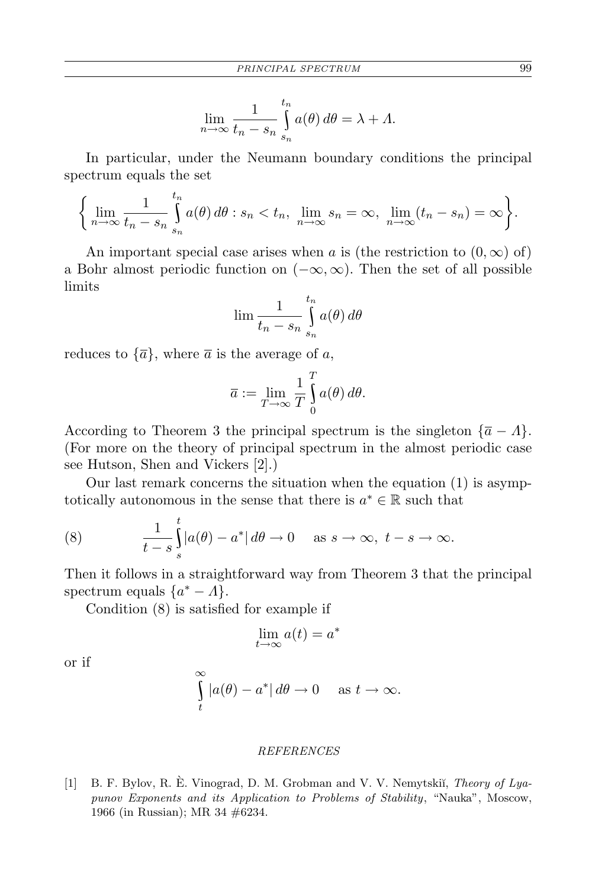$$
\lim_{n \to \infty} \frac{1}{t_n - s_n} \int_{s_n}^{t_n} a(\theta) d\theta = \lambda + \Lambda.
$$

In particular, under the Neumann boundary conditions the principal spectrum equals the set

$$
\left\{\lim_{n\to\infty}\frac{1}{t_n-s_n}\int\limits_{s_n}^{t_n}a(\theta)\,d\theta:s_n
$$

An important special case arises when *a* is (the restriction to  $(0, \infty)$  of) a Bohr almost periodic function on (*−∞, ∞*). Then the set of all possible limits

$$
\lim \frac{1}{t_n - s_n} \int\limits_{s_n}^{t_n} a(\theta) \, d\theta
$$

reduces to  $\{\overline{a}\}\,$ , where  $\overline{a}$  is the average of *a*,

$$
\overline{a} := \lim_{T \to \infty} \frac{1}{T} \int_{0}^{T} a(\theta) d\theta.
$$

According to Theorem 3 the principal spectrum is the singleton  ${\overline{a} - A}$ . (For more on the theory of principal spectrum in the almost periodic case see Hutson, Shen and Vickers [2].)

Our last remark concerns the situation when the equation (1) is asymptotically autonomous in the sense that there is  $a^* \in \mathbb{R}$  such that

(8) 
$$
\frac{1}{t-s}\int_{s}^{t}|a(\theta)-a^*|\,d\theta\to 0 \quad \text{as } s\to\infty, \ t-s\to\infty.
$$

Then it follows in a straightforward way from Theorem 3 that the principal spectrum equals  $\{a^* - A\}.$ 

Condition (8) is satisfied for example if

$$
\lim_{t \to \infty} a(t) = a^*
$$

or if

$$
\int_{t}^{\infty} |a(\theta) - a^*| d\theta \to 0 \quad \text{as } t \to \infty.
$$

## *REFERENCES*

[1] B. F. Bylov, R. E. Vinograd, D. M. Grobman and V. V. Nemytskiı̆, *Theory of Lyapunov Exponents and its Application to Problems of Stability*, "Nauka", Moscow, 1966 (in Russian); MR 34 #6234.